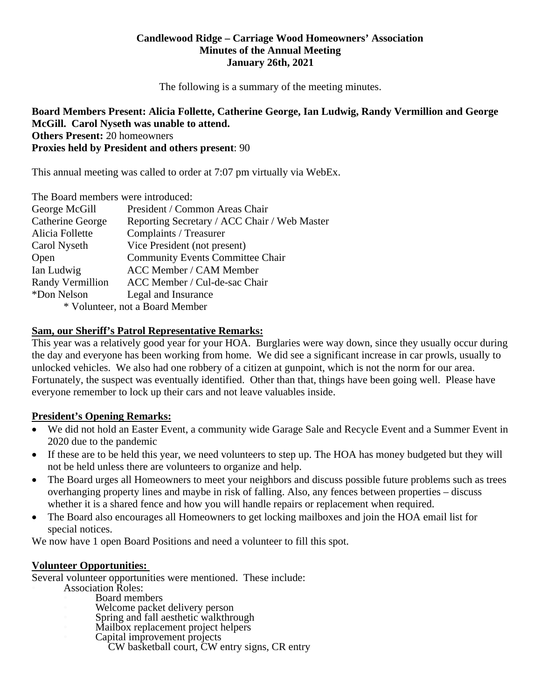#### **Candlewood Ridge – Carriage Wood Homeowners' Association Minutes of the Annual Meeting January 26th, 2021**

The following is a summary of the meeting minutes.

#### **Board Members Present: Alicia Follette, Catherine George, Ian Ludwig, Randy Vermillion and George McGill. Carol Nyseth was unable to attend. Others Present:** 20 homeowners **Proxies held by President and others present**: 90

This annual meeting was called to order at 7:07 pm virtually via WebEx.

| The Board members were introduced: |                                              |  |
|------------------------------------|----------------------------------------------|--|
| George McGill                      | President / Common Areas Chair               |  |
| Catherine George                   | Reporting Secretary / ACC Chair / Web Master |  |
| Alicia Follette                    | Complaints / Treasurer                       |  |
| Carol Nyseth                       | Vice President (not present)                 |  |
| Open                               | <b>Community Events Committee Chair</b>      |  |
| Ian Ludwig                         | <b>ACC Member / CAM Member</b>               |  |
| <b>Randy Vermillion</b>            | ACC Member / Cul-de-sac Chair                |  |
| *Don Nelson                        | Legal and Insurance                          |  |
| $*$ Volunteer not a Doord Momber   |                                              |  |

\* Volunteer, not a Board Member

#### **Sam, our Sheriff's Patrol Representative Remarks:**

This year was a relatively good year for your HOA. Burglaries were way down, since they usually occur during the day and everyone has been working from home. We did see a significant increase in car prowls, usually to unlocked vehicles. We also had one robbery of a citizen at gunpoint, which is not the norm for our area. Fortunately, the suspect was eventually identified. Other than that, things have been going well. Please have everyone remember to lock up their cars and not leave valuables inside.

## **President's Opening Remarks:**

- We did not hold an Easter Event, a community wide Garage Sale and Recycle Event and a Summer Event in 2020 due to the pandemic
- If these are to be held this year, we need volunteers to step up. The HOA has money budgeted but they will not be held unless there are volunteers to organize and help.
- The Board urges all Homeowners to meet your neighbors and discuss possible future problems such as trees overhanging property lines and maybe in risk of falling. Also, any fences between properties – discuss whether it is a shared fence and how you will handle repairs or replacement when required.
- The Board also encourages all Homeowners to get locking mailboxes and join the HOA email list for special notices.

We now have 1 open Board Positions and need a volunteer to fill this spot.

## **Volunteer Opportunities:**

Several volunteer opportunities were mentioned. These include:

- Association Roles:
	- Board members Welcome packet delivery person
	- Spring and fall aesthetic walkthrough
	- Mailbox replacement project helpers
	- Capital improvement projects
		- CW basketball court, CW entry signs, CR entry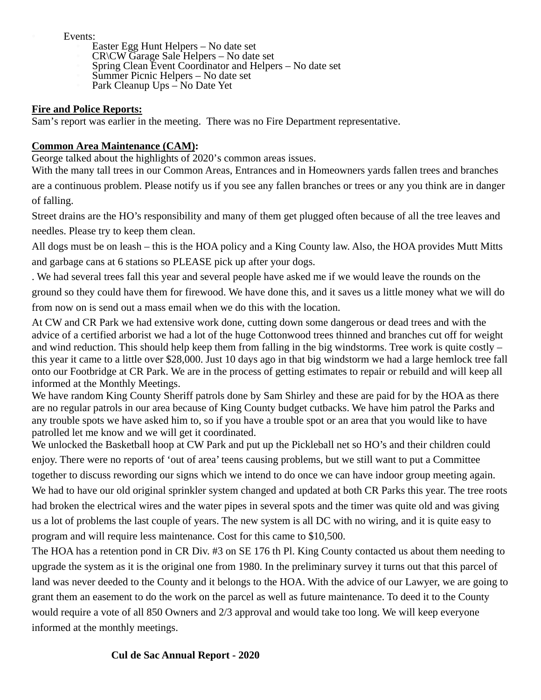Events:

- Easter Egg Hunt Helpers No date set
- CR\CW Garage Sale Helpers No date set
- Spring Clean Event Coordinator and Helpers No date set
- Summer Picnic Helpers No date set
- Park Cleanup Ups No Date Yet

#### **Fire and Police Reports:**

Sam's report was earlier in the meeting. There was no Fire Department representative.

# **Common Area Maintenance (CAM):**

George talked about the highlights of 2020's common areas issues.

With the many tall trees in our Common Areas, Entrances and in Homeowners yards fallen trees and branches are a continuous problem. Please notify us if you see any fallen branches or trees or any you think are in danger of falling.

Street drains are the HO's responsibility and many of them get plugged often because of all the tree leaves and needles. Please try to keep them clean.

All dogs must be on leash – this is the HOA policy and a King County law. Also, the HOA provides Mutt Mitts and garbage cans at 6 stations so PLEASE pick up after your dogs.

. We had several trees fall this year and several people have asked me if we would leave the rounds on the ground so they could have them for firewood. We have done this, and it saves us a little money what we will do from now on is send out a mass email when we do this with the location.

At CW and CR Park we had extensive work done, cutting down some dangerous or dead trees and with the advice of a certified arborist we had a lot of the huge Cottonwood trees thinned and branches cut off for weight and wind reduction. This should help keep them from falling in the big windstorms. Tree work is quite costly – this year it came to a little over \$28,000. Just 10 days ago in that big windstorm we had a large hemlock tree fall onto our Footbridge at CR Park. We are in the process of getting estimates to repair or rebuild and will keep all informed at the Monthly Meetings.

We have random King County Sheriff patrols done by Sam Shirley and these are paid for by the HOA as there are no regular patrols in our area because of King County budget cutbacks. We have him patrol the Parks and any trouble spots we have asked him to, so if you have a trouble spot or an area that you would like to have patrolled let me know and we will get it coordinated.

We unlocked the Basketball hoop at CW Park and put up the Pickleball net so HO's and their children could enjoy. There were no reports of 'out of area' teens causing problems, but we still want to put a Committee together to discuss rewording our signs which we intend to do once we can have indoor group meeting again. We had to have our old original sprinkler system changed and updated at both CR Parks this year. The tree roots had broken the electrical wires and the water pipes in several spots and the timer was quite old and was giving us a lot of problems the last couple of years. The new system is all DC with no wiring, and it is quite easy to program and will require less maintenance. Cost for this came to \$10,500.

The HOA has a retention pond in CR Div. #3 on SE 176 th Pl. King County contacted us about them needing to upgrade the system as it is the original one from 1980. In the preliminary survey it turns out that this parcel of land was never deeded to the County and it belongs to the HOA. With the advice of our Lawyer, we are going to grant them an easement to do the work on the parcel as well as future maintenance. To deed it to the County would require a vote of all 850 Owners and 2/3 approval and would take too long. We will keep everyone informed at the monthly meetings.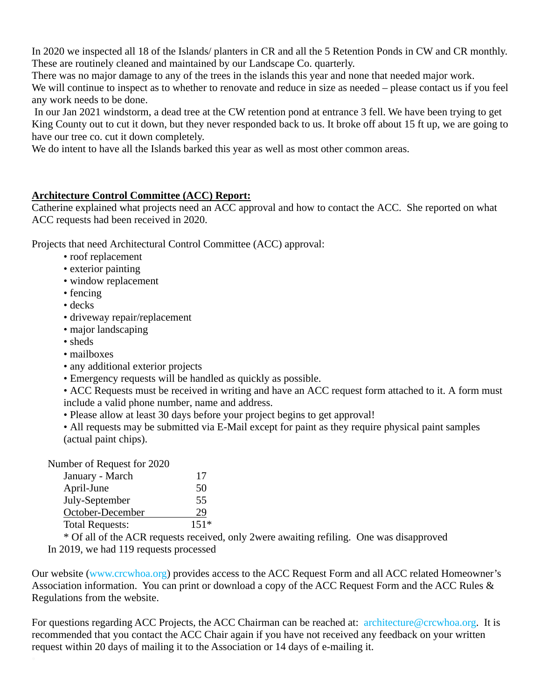In 2020 we inspected all 18 of the Islands/ planters in CR and all the 5 Retention Ponds in CW and CR monthly. These are routinely cleaned and maintained by our Landscape Co. quarterly.

There was no major damage to any of the trees in the islands this year and none that needed major work.

We will continue to inspect as to whether to renovate and reduce in size as needed – please contact us if you feel any work needs to be done.

 In our Jan 2021 windstorm, a dead tree at the CW retention pond at entrance 3 fell. We have been trying to get King County out to cut it down, but they never responded back to us. It broke off about 15 ft up, we are going to have our tree co. cut it down completely.

We do intent to have all the Islands barked this year as well as most other common areas.

# **Architecture Control Committee (ACC) Report:**

Catherine explained what projects need an ACC approval and how to contact the ACC. She reported on what ACC requests had been received in 2020.

Projects that need Architectural Control Committee (ACC) approval:

- roof replacement
- exterior painting
- window replacement
- fencing
- decks
- driveway repair/replacement
- major landscaping
- sheds
- mailboxes
- any additional exterior projects
- Emergency requests will be handled as quickly as possible.
- ACC Requests must be received in writing and have an ACC request form attached to it. A form must include a valid phone number, name and address.
- Please allow at least 30 days before your project begins to get approval!

• All requests may be submitted via E-Mail except for paint as they require physical paint samples (actual paint chips).

Number of Request for 2020

| January - March        | 17     |
|------------------------|--------|
| April-June             | 50     |
| July-September         | 55     |
| October-December       | 29     |
| <b>Total Requests:</b> | $151*$ |

 \* Of all of the ACR requests received, only 2were awaiting refiling. One was disapproved In 2019, we had 119 requests processed

Our website (www.crcwhoa.org) provides access to the ACC Request Form and all ACC related Homeowner's Association information. You can print or download a copy of the ACC Request Form and the ACC Rules & Regulations from the website.

For questions regarding ACC Projects, the ACC Chairman can be reached at: architecture@crcwhoa.org. It is recommended that you contact the ACC Chair again if you have not received any feedback on your written request within 20 days of mailing it to the Association or 14 days of e-mailing it.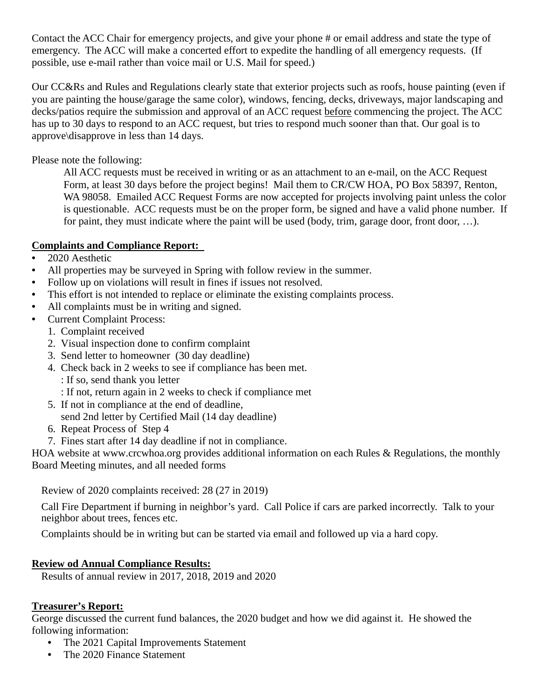Contact the ACC Chair for emergency projects, and give your phone # or email address and state the type of emergency. The ACC will make a concerted effort to expedite the handling of all emergency requests. (If possible, use e-mail rather than voice mail or U.S. Mail for speed.)

Our CC&Rs and Rules and Regulations clearly state that exterior projects such as roofs, house painting (even if you are painting the house/garage the same color), windows, fencing, decks, driveways, major landscaping and decks/patios require the submission and approval of an ACC request before commencing the project. The ACC has up to 30 days to respond to an ACC request, but tries to respond much sooner than that. Our goal is to approve\disapprove in less than 14 days.

Please note the following:

All ACC requests must be received in writing or as an attachment to an e-mail, on the ACC Request Form, at least 30 days before the project begins! Mail them to CR/CW HOA, PO Box 58397, Renton, WA 98058. Emailed ACC Request Forms are now accepted for projects involving paint unless the color is questionable. ACC requests must be on the proper form, be signed and have a valid phone number. If for paint, they must indicate where the paint will be used (body, trim, garage door, front door, …).

# **Complaints and Compliance Report:**

- 2020 Aesthetic
- All properties may be surveyed in Spring with follow review in the summer.
- Follow up on violations will result in fines if issues not resolved.
- This effort is not intended to replace or eliminate the existing complaints process.
- All complaints must be in writing and signed.
- Current Complaint Process:
	- 1. Complaint received
	- 2. Visual inspection done to confirm complaint
	- 3. Send letter to homeowner (30 day deadline)
	- 4. Check back in 2 weeks to see if compliance has been met.
		- : If so, send thank you letter
		- : If not, return again in 2 weeks to check if compliance met
	- 5. If not in compliance at the end of deadline,
		- send 2nd letter by Certified Mail (14 day deadline)
	- 6. Repeat Process of Step 4
	- 7. Fines start after 14 day deadline if not in compliance.

HOA website at www.crcwhoa.org provides additional information on each Rules & Regulations, the monthly Board Meeting minutes, and all needed forms

Review of 2020 complaints received: 28 (27 in 2019)

Call Fire Department if burning in neighbor's yard. Call Police if cars are parked incorrectly. Talk to your neighbor about trees, fences etc.

Complaints should be in writing but can be started via email and followed up via a hard copy.

## **Review od Annual Compliance Results:**

Results of annual review in 2017, 2018, 2019 and 2020

## **Treasurer's Report:**

George discussed the current fund balances, the 2020 budget and how we did against it. He showed the following information:

- The 2021 Capital Improvements Statement
- The 2020 Finance Statement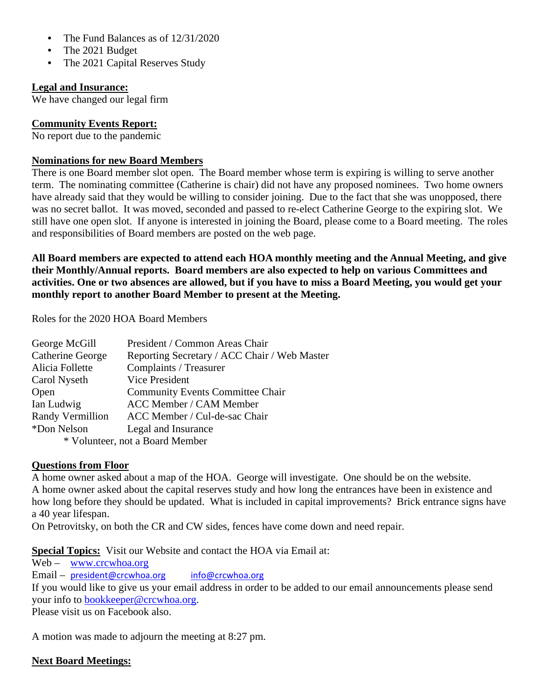- The Fund Balances as of  $12/31/2020$
- The 2021 Budget
- The 2021 Capital Reserves Study

# **Legal and Insurance:**

We have changed our legal firm

# **Community Events Report:**

No report due to the pandemic

## **Nominations for new Board Members**

There is one Board member slot open. The Board member whose term is expiring is willing to serve another term. The nominating committee (Catherine is chair) did not have any proposed nominees. Two home owners have already said that they would be willing to consider joining. Due to the fact that she was unopposed, there was no secret ballot. It was moved, seconded and passed to re-elect Catherine George to the expiring slot. We still have one open slot. If anyone is interested in joining the Board, please come to a Board meeting. The roles and responsibilities of Board members are posted on the web page.

**All Board members are expected to attend each HOA monthly meeting and the Annual Meeting, and give their Monthly/Annual reports. Board members are also expected to help on various Committees and activities. One or two absences are allowed, but if you have to miss a Board Meeting, you would get your monthly report to another Board Member to present at the Meeting.**

Roles for the 2020 HOA Board Members

| George McGill                   | President / Common Areas Chair               |  |
|---------------------------------|----------------------------------------------|--|
| Catherine George                | Reporting Secretary / ACC Chair / Web Master |  |
| Alicia Follette                 | Complaints / Treasurer                       |  |
| Carol Nyseth                    | Vice President                               |  |
| Open                            | <b>Community Events Committee Chair</b>      |  |
| Ian Ludwig                      | <b>ACC Member / CAM Member</b>               |  |
| <b>Randy Vermillion</b>         | ACC Member / Cul-de-sac Chair                |  |
| *Don Nelson                     | Legal and Insurance                          |  |
| * Volunteer, not a Board Member |                                              |  |

## **Questions from Floor**

A home owner asked about a map of the HOA. George will investigate. One should be on the website. A home owner asked about the capital reserves study and how long the entrances have been in existence and how long before they should be updated. What is included in capital improvements? Brick entrance signs have a 40 year lifespan.

On Petrovitsky, on both the CR and CW sides, fences have come down and need repair.

**Special Topics:** Visit our Website and contact the HOA via Email at:

Web – www.crcwhoa.org

Email – president@crcwhoa.org info@crcwhoa.org

If you would like to give us your email address in order to be added to our email announcements please send your info to bookkeeper@crcwhoa.org.

Please visit us on Facebook also.

A motion was made to adjourn the meeting at 8:27 pm.

## **Next Board Meetings:**